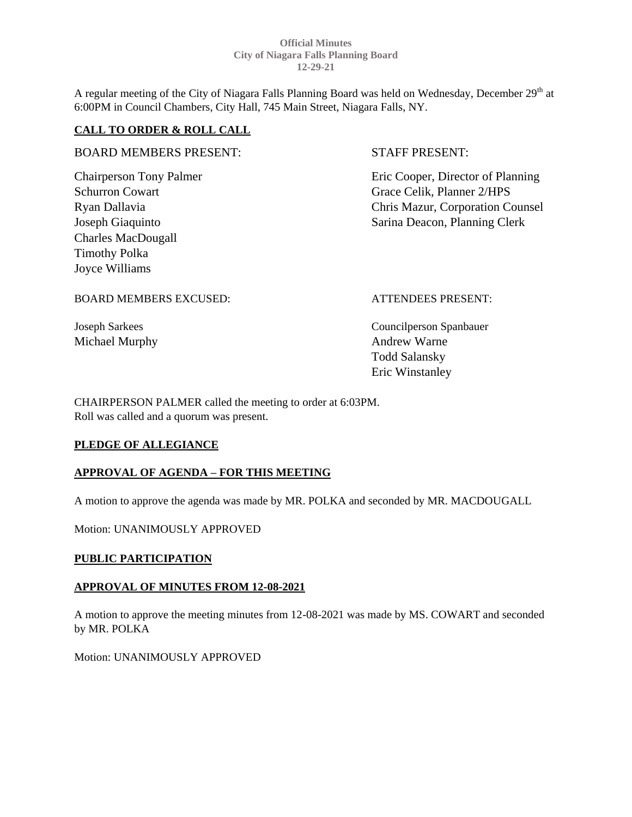A regular meeting of the City of Niagara Falls Planning Board was held on Wednesday, December 29<sup>th</sup> at 6:00PM in Council Chambers, City Hall, 745 Main Street, Niagara Falls, NY.

## **CALL TO ORDER & ROLL CALL**

## BOARD MEMBERS PRESENT: STAFF PRESENT:

Charles MacDougall Timothy Polka Joyce Williams

Chairperson Tony Palmer Eric Cooper, Director of Planning Schurron Cowart Grace Celik, Planner 2/HPS Ryan Dallavia Chris Mazur, Corporation Counsel Joseph Giaquinto Sarina Deacon, Planning Clerk

BOARD MEMBERS EXCUSED: ATTENDEES PRESENT:

Michael Murphy **Andrew Warne** 

Joseph Sarkees Councilperson Spanbauer Todd Salansky Eric Winstanley

CHAIRPERSON PALMER called the meeting to order at 6:03PM. Roll was called and a quorum was present.

# **PLEDGE OF ALLEGIANCE**

## **APPROVAL OF AGENDA – FOR THIS MEETING**

A motion to approve the agenda was made by MR. POLKA and seconded by MR. MACDOUGALL

Motion: UNANIMOUSLY APPROVED

# **PUBLIC PARTICIPATION**

## **APPROVAL OF MINUTES FROM 12-08-2021**

A motion to approve the meeting minutes from 12-08-2021 was made by MS. COWART and seconded by MR. POLKA

Motion: UNANIMOUSLY APPROVED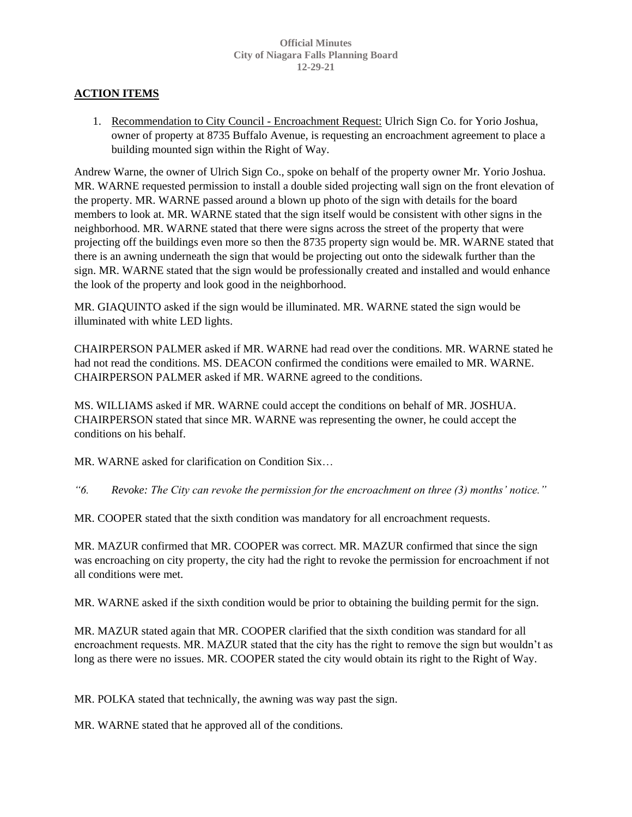# **ACTION ITEMS**

1. Recommendation to City Council - Encroachment Request: Ulrich Sign Co. for Yorio Joshua, owner of property at 8735 Buffalo Avenue, is requesting an encroachment agreement to place a building mounted sign within the Right of Way.

Andrew Warne, the owner of Ulrich Sign Co., spoke on behalf of the property owner Mr. Yorio Joshua. MR. WARNE requested permission to install a double sided projecting wall sign on the front elevation of the property. MR. WARNE passed around a blown up photo of the sign with details for the board members to look at. MR. WARNE stated that the sign itself would be consistent with other signs in the neighborhood. MR. WARNE stated that there were signs across the street of the property that were projecting off the buildings even more so then the 8735 property sign would be. MR. WARNE stated that there is an awning underneath the sign that would be projecting out onto the sidewalk further than the sign. MR. WARNE stated that the sign would be professionally created and installed and would enhance the look of the property and look good in the neighborhood.

MR. GIAQUINTO asked if the sign would be illuminated. MR. WARNE stated the sign would be illuminated with white LED lights.

CHAIRPERSON PALMER asked if MR. WARNE had read over the conditions. MR. WARNE stated he had not read the conditions. MS. DEACON confirmed the conditions were emailed to MR. WARNE. CHAIRPERSON PALMER asked if MR. WARNE agreed to the conditions.

MS. WILLIAMS asked if MR. WARNE could accept the conditions on behalf of MR. JOSHUA. CHAIRPERSON stated that since MR. WARNE was representing the owner, he could accept the conditions on his behalf.

MR. WARNE asked for clarification on Condition Six…

*"6. Revoke: The City can revoke the permission for the encroachment on three (3) months' notice."*

MR. COOPER stated that the sixth condition was mandatory for all encroachment requests.

MR. MAZUR confirmed that MR. COOPER was correct. MR. MAZUR confirmed that since the sign was encroaching on city property, the city had the right to revoke the permission for encroachment if not all conditions were met.

MR. WARNE asked if the sixth condition would be prior to obtaining the building permit for the sign.

MR. MAZUR stated again that MR. COOPER clarified that the sixth condition was standard for all encroachment requests. MR. MAZUR stated that the city has the right to remove the sign but wouldn't as long as there were no issues. MR. COOPER stated the city would obtain its right to the Right of Way.

MR. POLKA stated that technically, the awning was way past the sign.

MR. WARNE stated that he approved all of the conditions.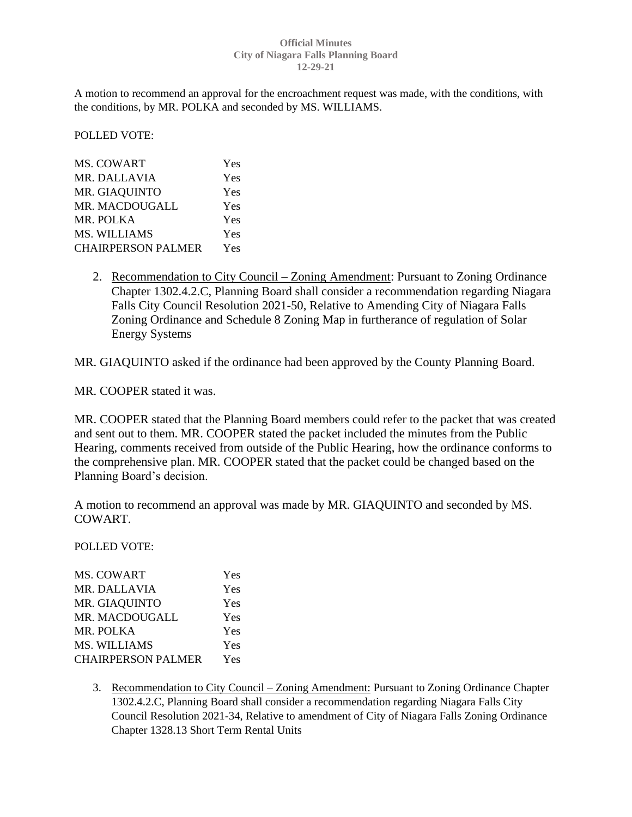A motion to recommend an approval for the encroachment request was made, with the conditions, with the conditions, by MR. POLKA and seconded by MS. WILLIAMS.

POLLED VOTE:

| <b>MS. COWART</b>         | Yes |
|---------------------------|-----|
| <b>MR. DALLAVIA</b>       | Yes |
| MR. GIAQUINTO             | Yes |
| MR. MACDOUGALL            | Yes |
| MR. POLKA                 | Yes |
| <b>MS. WILLIAMS</b>       | Yes |
| <b>CHAIRPERSON PALMER</b> | Yes |
|                           |     |

2. Recommendation to City Council – Zoning Amendment: Pursuant to Zoning Ordinance Chapter 1302.4.2.C, Planning Board shall consider a recommendation regarding Niagara Falls City Council Resolution 2021-50, Relative to Amending City of Niagara Falls Zoning Ordinance and Schedule 8 Zoning Map in furtherance of regulation of Solar Energy Systems

MR. GIAQUINTO asked if the ordinance had been approved by the County Planning Board.

MR. COOPER stated it was.

MR. COOPER stated that the Planning Board members could refer to the packet that was created and sent out to them. MR. COOPER stated the packet included the minutes from the Public Hearing, comments received from outside of the Public Hearing, how the ordinance conforms to the comprehensive plan. MR. COOPER stated that the packet could be changed based on the Planning Board's decision.

A motion to recommend an approval was made by MR. GIAQUINTO and seconded by MS. COWART.

POLLED VOTE:

| Yes |
|-----|
| Yes |
| Yes |
| Yes |
| Yes |
| Yes |
| Yes |
|     |

3. Recommendation to City Council – Zoning Amendment: Pursuant to Zoning Ordinance Chapter 1302.4.2.C, Planning Board shall consider a recommendation regarding Niagara Falls City Council Resolution 2021-34, Relative to amendment of City of Niagara Falls Zoning Ordinance Chapter 1328.13 Short Term Rental Units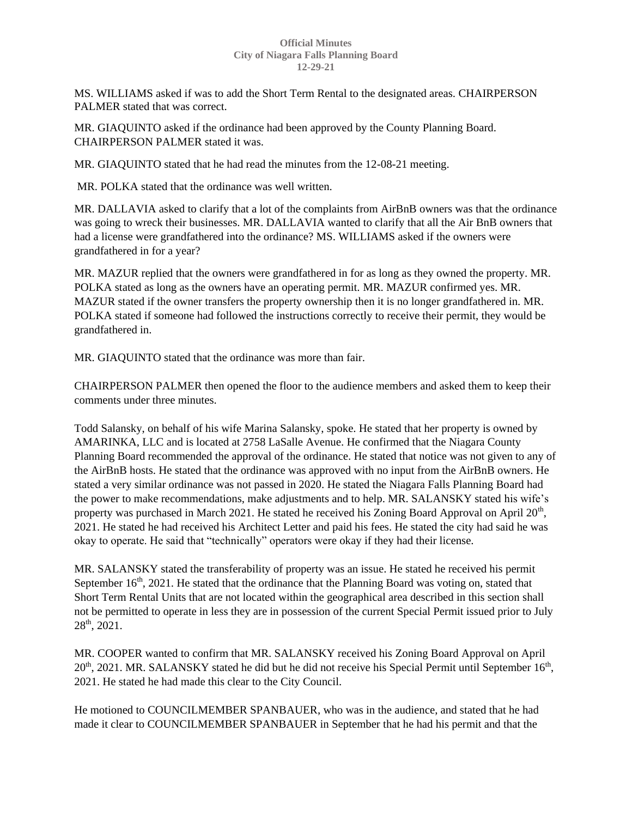MS. WILLIAMS asked if was to add the Short Term Rental to the designated areas. CHAIRPERSON PALMER stated that was correct.

MR. GIAQUINTO asked if the ordinance had been approved by the County Planning Board. CHAIRPERSON PALMER stated it was.

MR. GIAQUINTO stated that he had read the minutes from the 12-08-21 meeting.

MR. POLKA stated that the ordinance was well written.

MR. DALLAVIA asked to clarify that a lot of the complaints from AirBnB owners was that the ordinance was going to wreck their businesses. MR. DALLAVIA wanted to clarify that all the Air BnB owners that had a license were grandfathered into the ordinance? MS. WILLIAMS asked if the owners were grandfathered in for a year?

MR. MAZUR replied that the owners were grandfathered in for as long as they owned the property. MR. POLKA stated as long as the owners have an operating permit. MR. MAZUR confirmed yes. MR. MAZUR stated if the owner transfers the property ownership then it is no longer grandfathered in. MR. POLKA stated if someone had followed the instructions correctly to receive their permit, they would be grandfathered in.

MR. GIAQUINTO stated that the ordinance was more than fair.

CHAIRPERSON PALMER then opened the floor to the audience members and asked them to keep their comments under three minutes.

Todd Salansky, on behalf of his wife Marina Salansky, spoke. He stated that her property is owned by AMARINKA, LLC and is located at 2758 LaSalle Avenue. He confirmed that the Niagara County Planning Board recommended the approval of the ordinance. He stated that notice was not given to any of the AirBnB hosts. He stated that the ordinance was approved with no input from the AirBnB owners. He stated a very similar ordinance was not passed in 2020. He stated the Niagara Falls Planning Board had the power to make recommendations, make adjustments and to help. MR. SALANSKY stated his wife's property was purchased in March 2021. He stated he received his Zoning Board Approval on April  $20<sup>th</sup>$ , 2021. He stated he had received his Architect Letter and paid his fees. He stated the city had said he was okay to operate. He said that "technically" operators were okay if they had their license.

MR. SALANSKY stated the transferability of property was an issue. He stated he received his permit September  $16<sup>th</sup>$ , 2021. He stated that the ordinance that the Planning Board was voting on, stated that Short Term Rental Units that are not located within the geographical area described in this section shall not be permitted to operate in less they are in possession of the current Special Permit issued prior to July 28th, 2021.

MR. COOPER wanted to confirm that MR. SALANSKY received his Zoning Board Approval on April  $20<sup>th</sup>$ , 2021. MR. SALANSKY stated he did but he did not receive his Special Permit until September 16<sup>th</sup>, 2021. He stated he had made this clear to the City Council.

He motioned to COUNCILMEMBER SPANBAUER, who was in the audience, and stated that he had made it clear to COUNCILMEMBER SPANBAUER in September that he had his permit and that the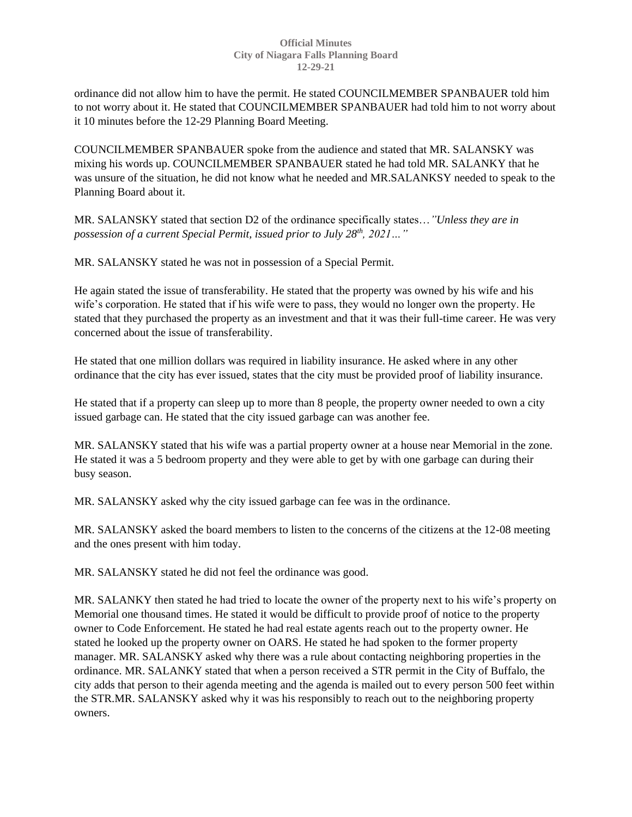ordinance did not allow him to have the permit. He stated COUNCILMEMBER SPANBAUER told him to not worry about it. He stated that COUNCILMEMBER SPANBAUER had told him to not worry about it 10 minutes before the 12-29 Planning Board Meeting.

COUNCILMEMBER SPANBAUER spoke from the audience and stated that MR. SALANSKY was mixing his words up. COUNCILMEMBER SPANBAUER stated he had told MR. SALANKY that he was unsure of the situation, he did not know what he needed and MR.SALANKSY needed to speak to the Planning Board about it.

MR. SALANSKY stated that section D2 of the ordinance specifically states…*"Unless they are in possession of a current Special Permit, issued prior to July 28th, 2021…"*

MR. SALANSKY stated he was not in possession of a Special Permit.

He again stated the issue of transferability. He stated that the property was owned by his wife and his wife's corporation. He stated that if his wife were to pass, they would no longer own the property. He stated that they purchased the property as an investment and that it was their full-time career. He was very concerned about the issue of transferability.

He stated that one million dollars was required in liability insurance. He asked where in any other ordinance that the city has ever issued, states that the city must be provided proof of liability insurance.

He stated that if a property can sleep up to more than 8 people, the property owner needed to own a city issued garbage can. He stated that the city issued garbage can was another fee.

MR. SALANSKY stated that his wife was a partial property owner at a house near Memorial in the zone. He stated it was a 5 bedroom property and they were able to get by with one garbage can during their busy season.

MR. SALANSKY asked why the city issued garbage can fee was in the ordinance.

MR. SALANSKY asked the board members to listen to the concerns of the citizens at the 12-08 meeting and the ones present with him today.

MR. SALANSKY stated he did not feel the ordinance was good.

MR. SALANKY then stated he had tried to locate the owner of the property next to his wife's property on Memorial one thousand times. He stated it would be difficult to provide proof of notice to the property owner to Code Enforcement. He stated he had real estate agents reach out to the property owner. He stated he looked up the property owner on OARS. He stated he had spoken to the former property manager. MR. SALANSKY asked why there was a rule about contacting neighboring properties in the ordinance. MR. SALANKY stated that when a person received a STR permit in the City of Buffalo, the city adds that person to their agenda meeting and the agenda is mailed out to every person 500 feet within the STR.MR. SALANSKY asked why it was his responsibly to reach out to the neighboring property owners.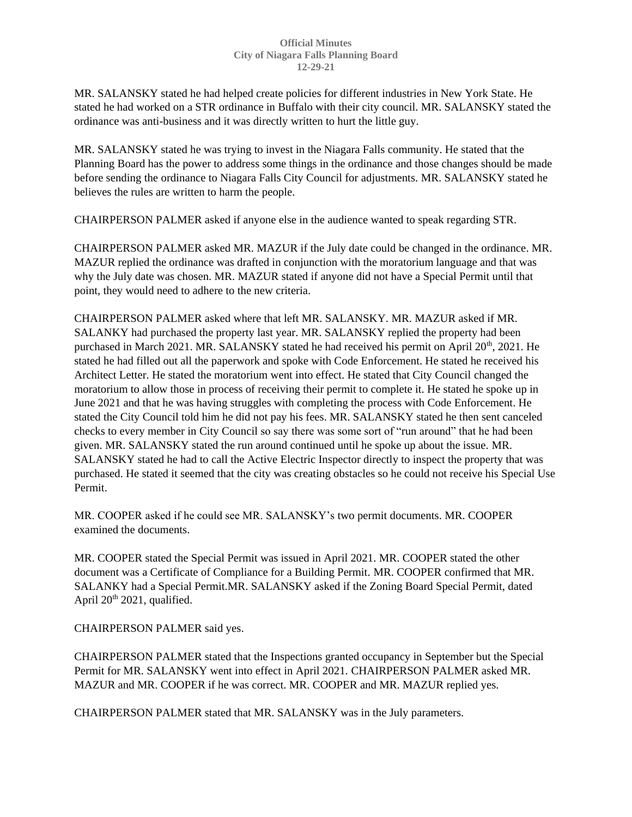MR. SALANSKY stated he had helped create policies for different industries in New York State. He stated he had worked on a STR ordinance in Buffalo with their city council. MR. SALANSKY stated the ordinance was anti-business and it was directly written to hurt the little guy.

MR. SALANSKY stated he was trying to invest in the Niagara Falls community. He stated that the Planning Board has the power to address some things in the ordinance and those changes should be made before sending the ordinance to Niagara Falls City Council for adjustments. MR. SALANSKY stated he believes the rules are written to harm the people.

CHAIRPERSON PALMER asked if anyone else in the audience wanted to speak regarding STR.

CHAIRPERSON PALMER asked MR. MAZUR if the July date could be changed in the ordinance. MR. MAZUR replied the ordinance was drafted in conjunction with the moratorium language and that was why the July date was chosen. MR. MAZUR stated if anyone did not have a Special Permit until that point, they would need to adhere to the new criteria.

CHAIRPERSON PALMER asked where that left MR. SALANSKY. MR. MAZUR asked if MR. SALANKY had purchased the property last year. MR. SALANSKY replied the property had been purchased in March 2021. MR. SALANSKY stated he had received his permit on April  $20<sup>th</sup>$ , 2021. He stated he had filled out all the paperwork and spoke with Code Enforcement. He stated he received his Architect Letter. He stated the moratorium went into effect. He stated that City Council changed the moratorium to allow those in process of receiving their permit to complete it. He stated he spoke up in June 2021 and that he was having struggles with completing the process with Code Enforcement. He stated the City Council told him he did not pay his fees. MR. SALANSKY stated he then sent canceled checks to every member in City Council so say there was some sort of "run around" that he had been given. MR. SALANSKY stated the run around continued until he spoke up about the issue. MR. SALANSKY stated he had to call the Active Electric Inspector directly to inspect the property that was purchased. He stated it seemed that the city was creating obstacles so he could not receive his Special Use Permit.

MR. COOPER asked if he could see MR. SALANSKY's two permit documents. MR. COOPER examined the documents.

MR. COOPER stated the Special Permit was issued in April 2021. MR. COOPER stated the other document was a Certificate of Compliance for a Building Permit. MR. COOPER confirmed that MR. SALANKY had a Special Permit.MR. SALANSKY asked if the Zoning Board Special Permit, dated April  $20^{th}$  2021, qualified.

CHAIRPERSON PALMER said yes.

CHAIRPERSON PALMER stated that the Inspections granted occupancy in September but the Special Permit for MR. SALANSKY went into effect in April 2021. CHAIRPERSON PALMER asked MR. MAZUR and MR. COOPER if he was correct. MR. COOPER and MR. MAZUR replied yes.

CHAIRPERSON PALMER stated that MR. SALANSKY was in the July parameters.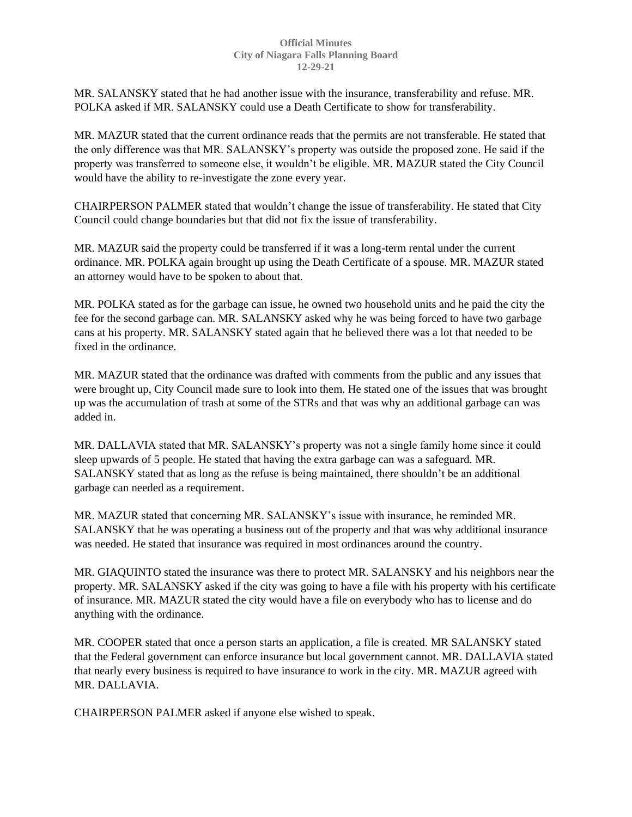MR. SALANSKY stated that he had another issue with the insurance, transferability and refuse. MR. POLKA asked if MR. SALANSKY could use a Death Certificate to show for transferability.

MR. MAZUR stated that the current ordinance reads that the permits are not transferable. He stated that the only difference was that MR. SALANSKY's property was outside the proposed zone. He said if the property was transferred to someone else, it wouldn't be eligible. MR. MAZUR stated the City Council would have the ability to re-investigate the zone every year.

CHAIRPERSON PALMER stated that wouldn't change the issue of transferability. He stated that City Council could change boundaries but that did not fix the issue of transferability.

MR. MAZUR said the property could be transferred if it was a long-term rental under the current ordinance. MR. POLKA again brought up using the Death Certificate of a spouse. MR. MAZUR stated an attorney would have to be spoken to about that.

MR. POLKA stated as for the garbage can issue, he owned two household units and he paid the city the fee for the second garbage can. MR. SALANSKY asked why he was being forced to have two garbage cans at his property. MR. SALANSKY stated again that he believed there was a lot that needed to be fixed in the ordinance.

MR. MAZUR stated that the ordinance was drafted with comments from the public and any issues that were brought up, City Council made sure to look into them. He stated one of the issues that was brought up was the accumulation of trash at some of the STRs and that was why an additional garbage can was added in.

MR. DALLAVIA stated that MR. SALANSKY's property was not a single family home since it could sleep upwards of 5 people. He stated that having the extra garbage can was a safeguard. MR. SALANSKY stated that as long as the refuse is being maintained, there shouldn't be an additional garbage can needed as a requirement.

MR. MAZUR stated that concerning MR. SALANSKY's issue with insurance, he reminded MR. SALANSKY that he was operating a business out of the property and that was why additional insurance was needed. He stated that insurance was required in most ordinances around the country.

MR. GIAQUINTO stated the insurance was there to protect MR. SALANSKY and his neighbors near the property. MR. SALANSKY asked if the city was going to have a file with his property with his certificate of insurance. MR. MAZUR stated the city would have a file on everybody who has to license and do anything with the ordinance.

MR. COOPER stated that once a person starts an application, a file is created. MR SALANSKY stated that the Federal government can enforce insurance but local government cannot. MR. DALLAVIA stated that nearly every business is required to have insurance to work in the city. MR. MAZUR agreed with MR. DALLAVIA.

CHAIRPERSON PALMER asked if anyone else wished to speak.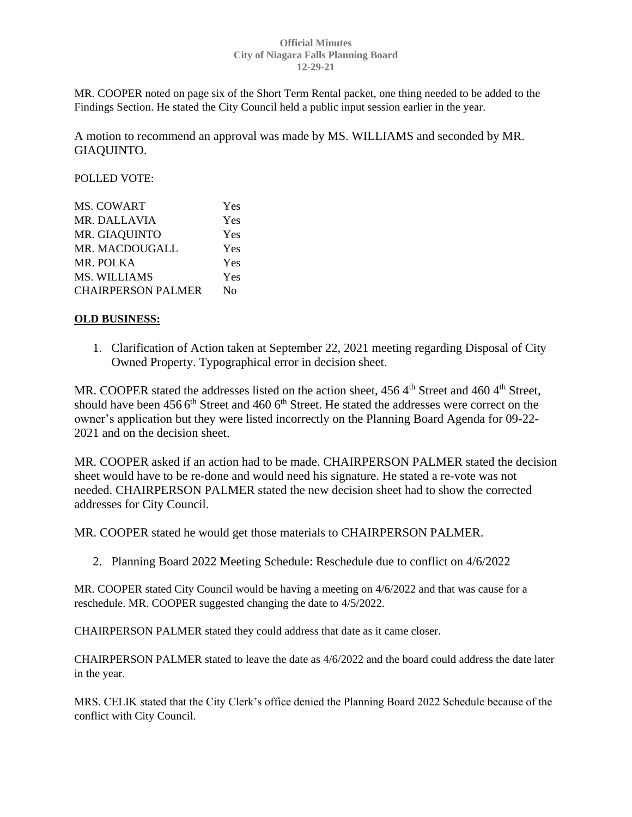MR. COOPER noted on page six of the Short Term Rental packet, one thing needed to be added to the Findings Section. He stated the City Council held a public input session earlier in the year.

A motion to recommend an approval was made by MS. WILLIAMS and seconded by MR. GIAQUINTO.

POLLED VOTE:

| MS. COWART                | Yes |
|---------------------------|-----|
| <b>MR. DALLAVIA</b>       | Yes |
| MR. GIAQUINTO             | Yes |
| MR. MACDOUGALL            | Yes |
| MR. POLKA                 | Yes |
| MS. WILLIAMS              | Yes |
| <b>CHAIRPERSON PALMER</b> | Nο  |

## **OLD BUSINESS:**

1. Clarification of Action taken at September 22, 2021 meeting regarding Disposal of City Owned Property. Typographical error in decision sheet.

MR. COOPER stated the addresses listed on the action sheet,  $4564<sup>th</sup>$  Street and  $4604<sup>th</sup>$  Street, should have been 456 6<sup>th</sup> Street and 460 6<sup>th</sup> Street. He stated the addresses were correct on the owner's application but they were listed incorrectly on the Planning Board Agenda for 09-22- 2021 and on the decision sheet.

MR. COOPER asked if an action had to be made. CHAIRPERSON PALMER stated the decision sheet would have to be re-done and would need his signature. He stated a re-vote was not needed. CHAIRPERSON PALMER stated the new decision sheet had to show the corrected addresses for City Council.

MR. COOPER stated he would get those materials to CHAIRPERSON PALMER.

2. Planning Board 2022 Meeting Schedule: Reschedule due to conflict on 4/6/2022

MR. COOPER stated City Council would be having a meeting on 4/6/2022 and that was cause for a reschedule. MR. COOPER suggested changing the date to 4/5/2022.

CHAIRPERSON PALMER stated they could address that date as it came closer.

CHAIRPERSON PALMER stated to leave the date as 4/6/2022 and the board could address the date later in the year.

MRS. CELIK stated that the City Clerk's office denied the Planning Board 2022 Schedule because of the conflict with City Council.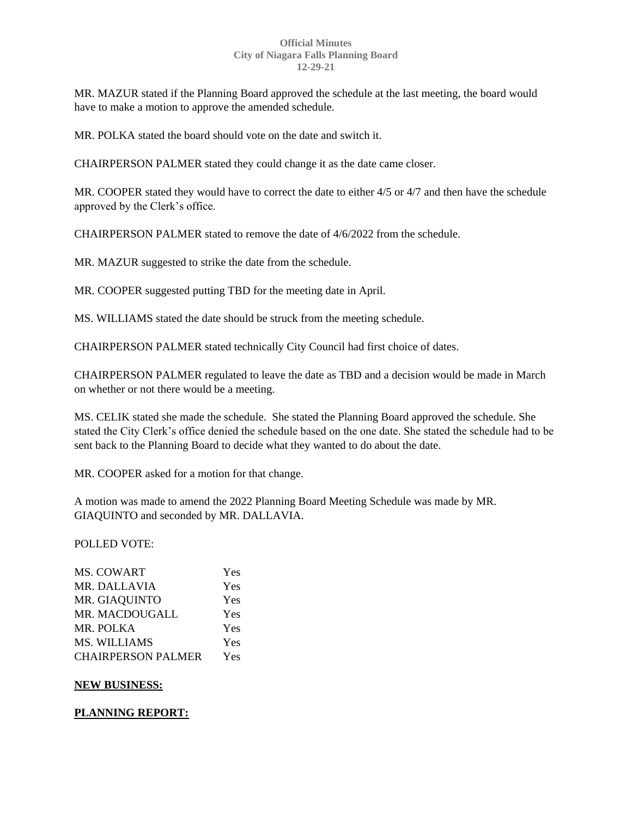MR. MAZUR stated if the Planning Board approved the schedule at the last meeting, the board would have to make a motion to approve the amended schedule.

MR. POLKA stated the board should vote on the date and switch it.

CHAIRPERSON PALMER stated they could change it as the date came closer.

MR. COOPER stated they would have to correct the date to either 4/5 or 4/7 and then have the schedule approved by the Clerk's office.

CHAIRPERSON PALMER stated to remove the date of 4/6/2022 from the schedule.

MR. MAZUR suggested to strike the date from the schedule.

MR. COOPER suggested putting TBD for the meeting date in April.

MS. WILLIAMS stated the date should be struck from the meeting schedule.

CHAIRPERSON PALMER stated technically City Council had first choice of dates.

CHAIRPERSON PALMER regulated to leave the date as TBD and a decision would be made in March on whether or not there would be a meeting.

MS. CELIK stated she made the schedule. She stated the Planning Board approved the schedule. She stated the City Clerk's office denied the schedule based on the one date. She stated the schedule had to be sent back to the Planning Board to decide what they wanted to do about the date.

MR. COOPER asked for a motion for that change.

A motion was made to amend the 2022 Planning Board Meeting Schedule was made by MR. GIAQUINTO and seconded by MR. DALLAVIA.

POLLED VOTE:

| <b>MS. COWART</b>         | Yes |
|---------------------------|-----|
| <b>MR. DALLAVIA</b>       | Yes |
| MR. GIAQUINTO             | Yes |
| <b>MR. MACDOUGALL</b>     | Yes |
| MR. POLKA                 | Yes |
| MS. WILLIAMS              | Yes |
| <b>CHAIRPERSON PALMER</b> | Yes |

# **NEW BUSINESS:**

# **PLANNING REPORT:**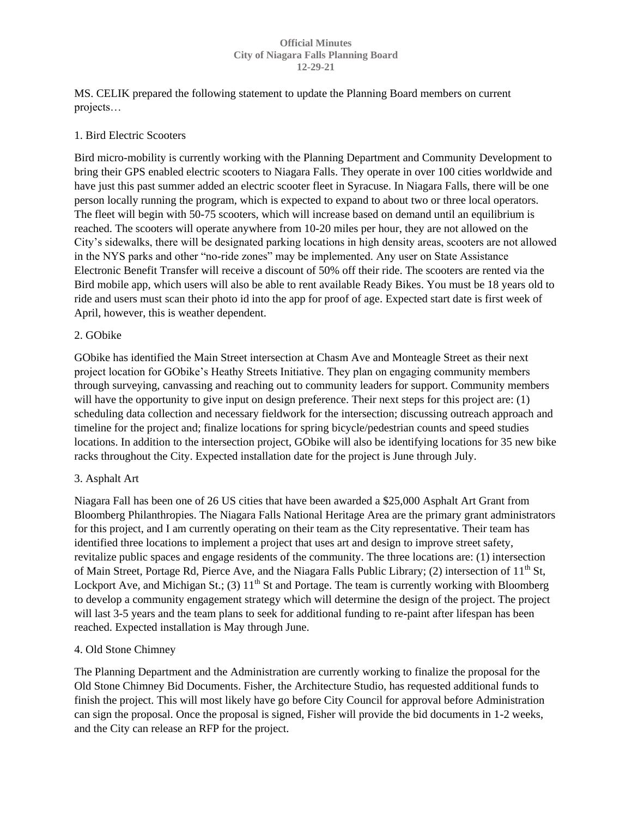MS. CELIK prepared the following statement to update the Planning Board members on current projects…

## 1. Bird Electric Scooters

Bird micro-mobility is currently working with the Planning Department and Community Development to bring their GPS enabled electric scooters to Niagara Falls. They operate in over 100 cities worldwide and have just this past summer added an electric scooter fleet in Syracuse. In Niagara Falls, there will be one person locally running the program, which is expected to expand to about two or three local operators. The fleet will begin with 50-75 scooters, which will increase based on demand until an equilibrium is reached. The scooters will operate anywhere from 10-20 miles per hour, they are not allowed on the City's sidewalks, there will be designated parking locations in high density areas, scooters are not allowed in the NYS parks and other "no-ride zones" may be implemented. Any user on State Assistance Electronic Benefit Transfer will receive a discount of 50% off their ride. The scooters are rented via the Bird mobile app, which users will also be able to rent available Ready Bikes. You must be 18 years old to ride and users must scan their photo id into the app for proof of age. Expected start date is first week of April, however, this is weather dependent.

## 2. GObike

GObike has identified the Main Street intersection at Chasm Ave and Monteagle Street as their next project location for GObike's Heathy Streets Initiative. They plan on engaging community members through surveying, canvassing and reaching out to community leaders for support. Community members will have the opportunity to give input on design preference. Their next steps for this project are: (1) scheduling data collection and necessary fieldwork for the intersection; discussing outreach approach and timeline for the project and; finalize locations for spring bicycle/pedestrian counts and speed studies locations. In addition to the intersection project, GObike will also be identifying locations for 35 new bike racks throughout the City. Expected installation date for the project is June through July.

## 3. Asphalt Art

Niagara Fall has been one of 26 US cities that have been awarded a \$25,000 Asphalt Art Grant from Bloomberg Philanthropies. The Niagara Falls National Heritage Area are the primary grant administrators for this project, and I am currently operating on their team as the City representative. Their team has identified three locations to implement a project that uses art and design to improve street safety, revitalize public spaces and engage residents of the community. The three locations are: (1) intersection of Main Street, Portage Rd, Pierce Ave, and the Niagara Falls Public Library; (2) intersection of 11<sup>th</sup> St, Lockport Ave, and Michigan St.; (3)  $11<sup>th</sup>$  St and Portage. The team is currently working with Bloomberg to develop a community engagement strategy which will determine the design of the project. The project will last 3-5 years and the team plans to seek for additional funding to re-paint after lifespan has been reached. Expected installation is May through June.

## 4. Old Stone Chimney

The Planning Department and the Administration are currently working to finalize the proposal for the Old Stone Chimney Bid Documents. Fisher, the Architecture Studio, has requested additional funds to finish the project. This will most likely have go before City Council for approval before Administration can sign the proposal. Once the proposal is signed, Fisher will provide the bid documents in 1-2 weeks, and the City can release an RFP for the project.